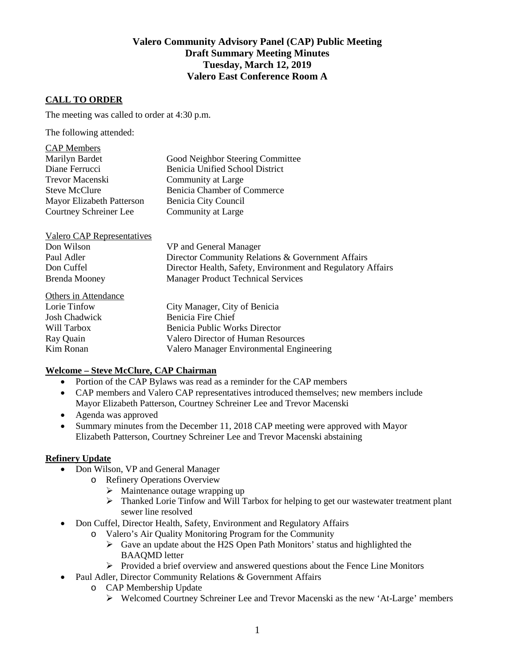# **Valero Community Advisory Panel (CAP) Public Meeting Draft Summary Meeting Minutes Tuesday, March 12, 2019 Valero East Conference Room A**

# **CALL TO ORDER**

The meeting was called to order at 4:30 p.m.

The following attended:

| <b>CAP</b> Members        |                                        |
|---------------------------|----------------------------------------|
| Marilyn Bardet            | Good Neighbor Steering Committee       |
| Diane Ferrucci            | <b>Benicia Unified School District</b> |
| Trevor Macenski           | Community at Large                     |
| <b>Steve McClure</b>      | Benicia Chamber of Commerce            |
| Mayor Elizabeth Patterson | Benicia City Council                   |
| Courtney Schreiner Lee    | Community at Large                     |

| Valero CAP Representatives |                                                             |
|----------------------------|-------------------------------------------------------------|
| Don Wilson                 | VP and General Manager                                      |
| Paul Adler                 | Director Community Relations & Government Affairs           |
| Don Cuffel                 | Director Health, Safety, Environment and Regulatory Affairs |
| <b>Brenda Mooney</b>       | <b>Manager Product Technical Services</b>                   |

| Others in Attendance |                                          |
|----------------------|------------------------------------------|
| Lorie Tinfow         | City Manager, City of Benicia            |
| <b>Josh Chadwick</b> | Benicia Fire Chief                       |
| Will Tarbox          | Benicia Public Works Director            |
| Ray Quain            | Valero Director of Human Resources       |
| Kim Ronan            | Valero Manager Environmental Engineering |
|                      |                                          |

### **Welcome – Steve McClure, CAP Chairman**

- Portion of the CAP Bylaws was read as a reminder for the CAP members
- CAP members and Valero CAP representatives introduced themselves; new members include Mayor Elizabeth Patterson, Courtney Schreiner Lee and Trevor Macenski
- Agenda was approved
- Summary minutes from the December 11, 2018 CAP meeting were approved with Mayor Elizabeth Patterson, Courtney Schreiner Lee and Trevor Macenski abstaining

### **Refinery Update**

- Don Wilson, VP and General Manager
	- o Refinery Operations Overview
		- $\triangleright$  Maintenance outage wrapping up
		- $\triangleright$  Thanked Lorie Tinfow and Will Tarbox for helping to get our wastewater treatment plant sewer line resolved
- Don Cuffel, Director Health, Safety, Environment and Regulatory Affairs
	- o Valero's Air Quality Monitoring Program for the Community
		- Gave an update about the H2S Open Path Monitors' status and highlighted the BAAQMD letter
		- $\triangleright$  Provided a brief overview and answered questions about the Fence Line Monitors
- Paul Adler, Director Community Relations & Government Affairs
	- o CAP Membership Update
		- Welcomed Courtney Schreiner Lee and Trevor Macenski as the new 'At-Large' members